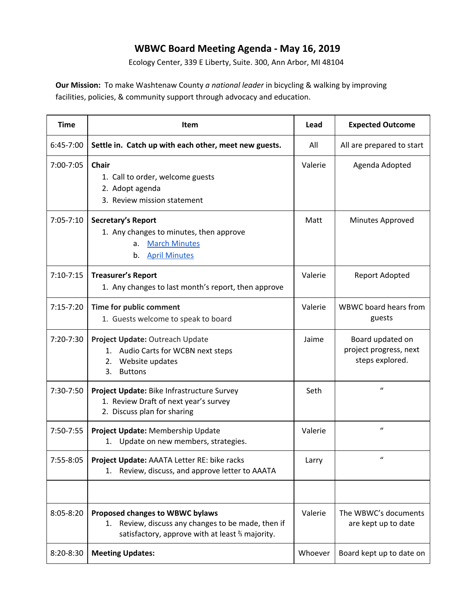## **WBWC Board Meeting Agenda - May 16, 2019**

Ecology Center, 339 E Liberty, Suite. 300, Ann Arbor, MI 48104

**Our Mission:** To make Washtenaw County *a national leader* in bicycling & walking by improving facilities, policies, & community support through advocacy and education.

| <b>Time</b>   | <b>Item</b>                                                                                                                                 | Lead    | <b>Expected Outcome</b>                                       |
|---------------|---------------------------------------------------------------------------------------------------------------------------------------------|---------|---------------------------------------------------------------|
| 6:45-7:00     | Settle in. Catch up with each other, meet new guests.                                                                                       | All     | All are prepared to start                                     |
| 7:00-7:05     | <b>Chair</b><br>1. Call to order, welcome guests<br>2. Adopt agenda<br>3. Review mission statement                                          | Valerie | Agenda Adopted                                                |
| $7:05 - 7:10$ | Secretary's Report<br>1. Any changes to minutes, then approve<br><b>March Minutes</b><br>a.<br><b>April Minutes</b><br>b.                   | Matt    | Minutes Approved                                              |
| $7:10-7:15$   | <b>Treasurer's Report</b><br>1. Any changes to last month's report, then approve                                                            | Valerie | Report Adopted                                                |
| $7:15 - 7:20$ | Time for public comment<br>1. Guests welcome to speak to board                                                                              | Valerie | WBWC board hears from<br>guests                               |
| 7:20-7:30     | Project Update: Outreach Update<br>Audio Carts for WCBN next steps<br>1.<br>Website updates<br>2.<br>3.<br><b>Buttons</b>                   | Jaime   | Board updated on<br>project progress, next<br>steps explored. |
| 7:30-7:50     | Project Update: Bike Infrastructure Survey<br>1. Review Draft of next year's survey<br>2. Discuss plan for sharing                          | Seth    | $\mathbf{u}$                                                  |
| 7:50-7:55     | Project Update: Membership Update<br>Update on new members, strategies.<br>1.                                                               | Valerie | $\boldsymbol{u}$                                              |
| 7:55-8:05     | Project Update: AAATA Letter RE: bike racks<br>Review, discuss, and approve letter to AAATA<br>1.                                           | Larry   | $\boldsymbol{u}$                                              |
|               |                                                                                                                                             |         |                                                               |
| 8:05-8:20     | Proposed changes to WBWC bylaws<br>Review, discuss any changes to be made, then if<br>1.<br>satisfactory, approve with at least % majority. | Valerie | The WBWC's documents<br>are kept up to date                   |
| 8:20-8:30     | <b>Meeting Updates:</b>                                                                                                                     | Whoever | Board kept up to date on                                      |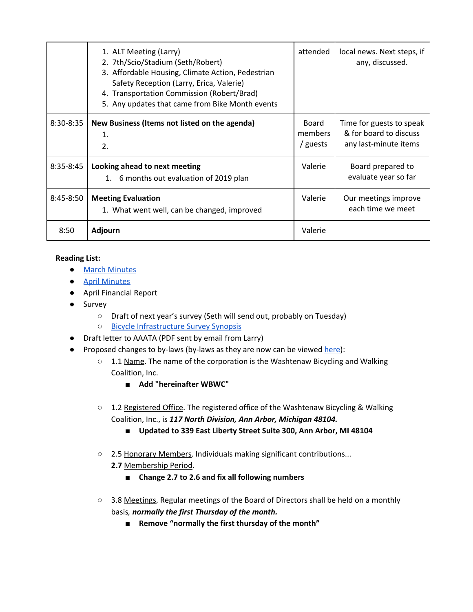|               | 1. ALT Meeting (Larry)<br>2. 7th/Scio/Stadium (Seth/Robert)<br>3. Affordable Housing, Climate Action, Pedestrian<br>Safety Reception (Larry, Erica, Valerie)<br>4. Transportation Commission (Robert/Brad)<br>5. Any updates that came from Bike Month events | attended                     | local news. Next steps, if<br>any, discussed.                               |
|---------------|---------------------------------------------------------------------------------------------------------------------------------------------------------------------------------------------------------------------------------------------------------------|------------------------------|-----------------------------------------------------------------------------|
| 8:30-8:35     | New Business (Items not listed on the agenda)<br>1.<br>2.                                                                                                                                                                                                     | Board<br>members<br>/ guests | Time for guests to speak<br>& for board to discuss<br>any last-minute items |
| $8:35 - 8:45$ | Looking ahead to next meeting<br>1. 6 months out evaluation of 2019 plan                                                                                                                                                                                      | Valerie                      | Board prepared to<br>evaluate year so far                                   |
| $8:45 - 8:50$ | <b>Meeting Evaluation</b><br>1. What went well, can be changed, improved                                                                                                                                                                                      | Valerie                      | Our meetings improve<br>each time we meet                                   |
| 8:50          | <b>Adjourn</b>                                                                                                                                                                                                                                                | Valerie                      |                                                                             |

## **Reading List:**

- March [Minutes](https://docs.google.com/document/d/1q_N7eBwrC655VWLSMt_Y_Q7LuqNIzueqMFJ-yksHmCY/edit)
- April [Minutes](https://docs.google.com/document/d/1I-ATslFKbRBM8ho7nWvffNZE_cFyzurop7Wznwqp7L0/edit)
- April Financial Report
- Survey
	- Draft of next year's survey (Seth will send out, probably on Tuesday)
	- Bicycle [Infrastructure](https://docs.google.com/document/d/1vabbJFN5XaKB6fKBnhBxoxtGb5eF0PN5zmvdXQzDNoY/edit?usp=sharing) Survey Synopsis
- Draft letter to AAATA (PDF sent by email from Larry)
- Proposed changes to by-laws (by-laws as they are now can be viewed [here](https://docs.google.com/document/d/10W0FYPYqJ1E_ac9inrOIcpGDxrDxmP3_JSh-qmNmRG0/edit?usp=sharing)):
	- 1.1 Name. The name of the corporation is the Washtenaw Bicycling and Walking Coalition, Inc.
		- **■ Add "hereinafter WBWC"**
	- 1.2 Registered Office. The registered office of the Washtenaw Bicycling & Walking Coalition, Inc., is *117 North Division, Ann Arbor, Michigan 48104.*
		- **Updated to 339 East Liberty Street Suite 300, Ann Arbor, MI 48104**
	- **○** 2.5 Honorary Members. Individuals making significant contributions...
		- **2.7** Membership Period.
			- **■ Change 2.7 to 2.6 and fix all following numbers**
	- **○** 3.8 Meetings. Regular meetings of the Board of Directors shall be held on a monthly basis*, normally the first Thursday of the month.*
		- **■ Remove "normally the first thursday of the month"**